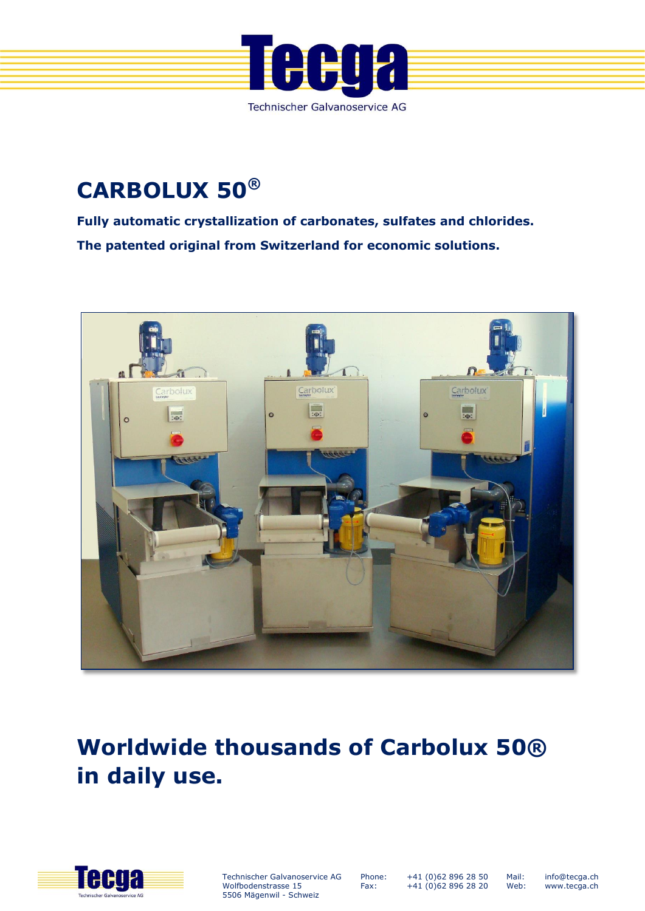

# **CARBOLUX 50®**

**Fully automatic crystallization of carbonates, sulfates and chlorides. The patented original from Switzerland for economic solutions.**



# **Worldwide thousands of Carbolux 50® in daily use.**



Technischer Galvanoservice AG Wolfbodenstrasse 15 5506 Mägenwil - Schweiz

Phone: Fax:

+41 (0)62 896 28 50 +41 (0)62 896 28 20

Mail: Web:

info@tecga.ch www.tecga.ch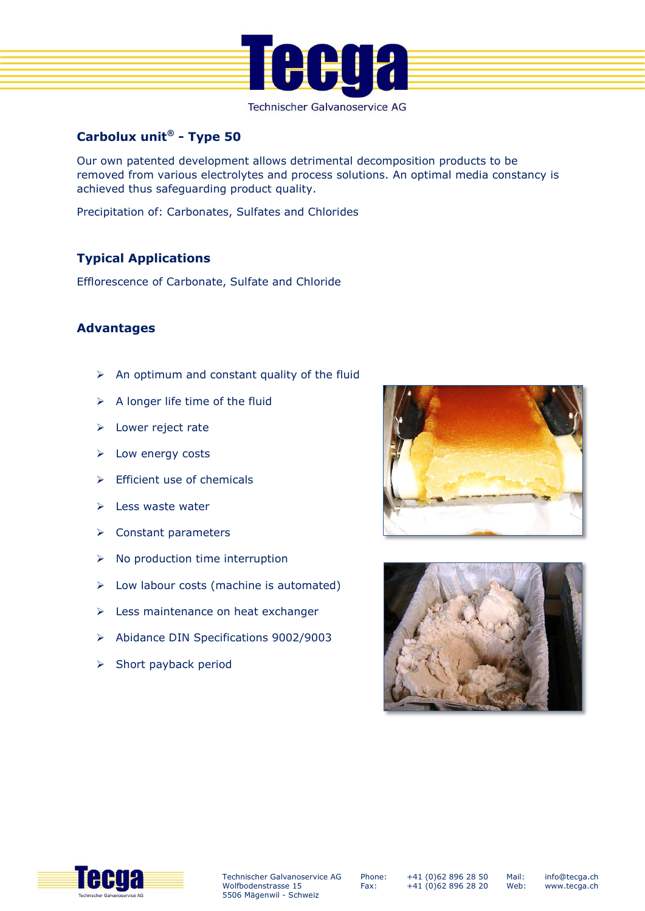

Technischer Galvanoservice AG

## **Carbolux unit® - Type 50**

Our own patented development allows detrimental decomposition products to be removed from various electrolytes and process solutions. An optimal media constancy is achieved thus safeguarding product quality.

Precipitation of: Carbonates, Sulfates and Chlorides

### **Typical Applications**

Efflorescence of Carbonate, Sulfate and Chloride

#### **Advantages**

- $\triangleright$  An optimum and constant quality of the fluid
- $\triangleright$  A longer life time of the fluid
- > Lower reject rate
- $\triangleright$  Low energy costs
- $\triangleright$  Efficient use of chemicals
- $\geq$  Less waste water
- **▶** Constant parameters
- $\triangleright$  No production time interruption
- $\triangleright$  Low labour costs (machine is automated)
- $\triangleright$  Less maintenance on heat exchanger
- Abidance DIN Specifications 9002/9003
- $\triangleright$  Short payback period







Phone: Fax:

+41 (0)62 896 28 50 +41 (0)62 896 28 20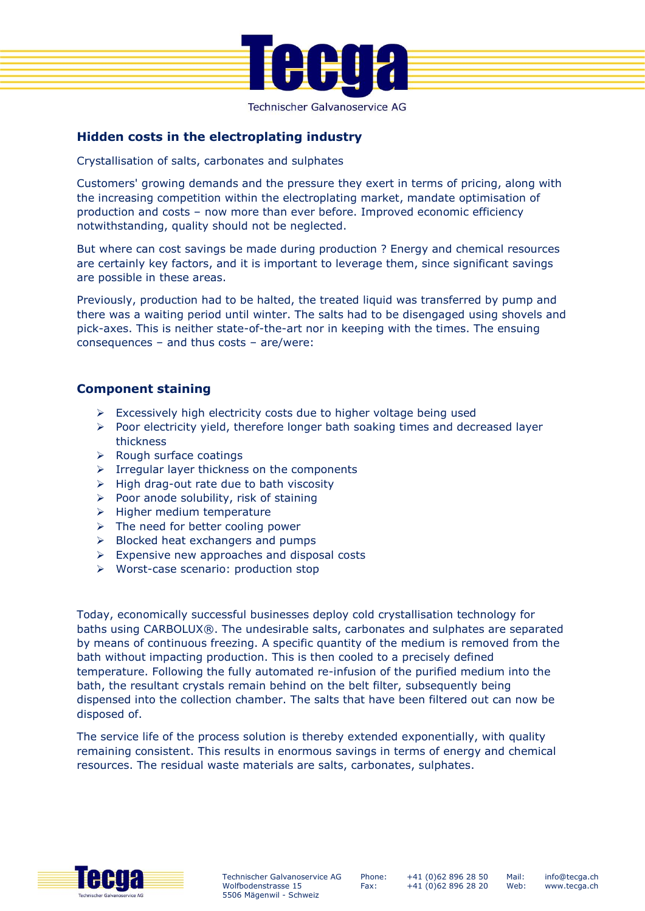

Technischer Galvanoservice AG

#### **Hidden costs in the electroplating industry**

Crystallisation of salts, carbonates and sulphates

Customers' growing demands and the pressure they exert in terms of pricing, along with the increasing competition within the electroplating market, mandate optimisation of production and costs – now more than ever before. Improved economic efficiency notwithstanding, quality should not be neglected.

But where can cost savings be made during production ? Energy and chemical resources are certainly key factors, and it is important to leverage them, since significant savings are possible in these areas.

Previously, production had to be halted, the treated liquid was transferred by pump and there was a waiting period until winter. The salts had to be disengaged using shovels and pick-axes. This is neither state-of-the-art nor in keeping with the times. The ensuing consequences – and thus costs – are/were:

#### **Component staining**

- $\triangleright$  Excessively high electricity costs due to higher voltage being used
- $\triangleright$  Poor electricity yield, therefore longer bath soaking times and decreased layer thickness
- $\triangleright$  Rough surface coatings
- $\triangleright$  Irregular layer thickness on the components
- $\triangleright$  High drag-out rate due to bath viscosity
- $\triangleright$  Poor anode solubility, risk of staining
- $\triangleright$  Higher medium temperature
- $\triangleright$  The need for better cooling power
- $\triangleright$  Blocked heat exchangers and pumps
- $\triangleright$  Expensive new approaches and disposal costs
- Worst-case scenario: production stop

Today, economically successful businesses deploy cold crystallisation technology for baths using CARBOLUX®. The undesirable salts, carbonates and sulphates are separated by means of continuous freezing. A specific quantity of the medium is removed from the bath without impacting production. This is then cooled to a precisely defined temperature. Following the fully automated re-infusion of the purified medium into the bath, the resultant crystals remain behind on the belt filter, subsequently being dispensed into the collection chamber. The salts that have been filtered out can now be disposed of.

The service life of the process solution is thereby extended exponentially, with quality remaining consistent. This results in enormous savings in terms of energy and chemical resources. The residual waste materials are salts, carbonates, sulphates.



Phone: Fax:

+41 (0)62 896 28 50 +41 (0)62 896 28 20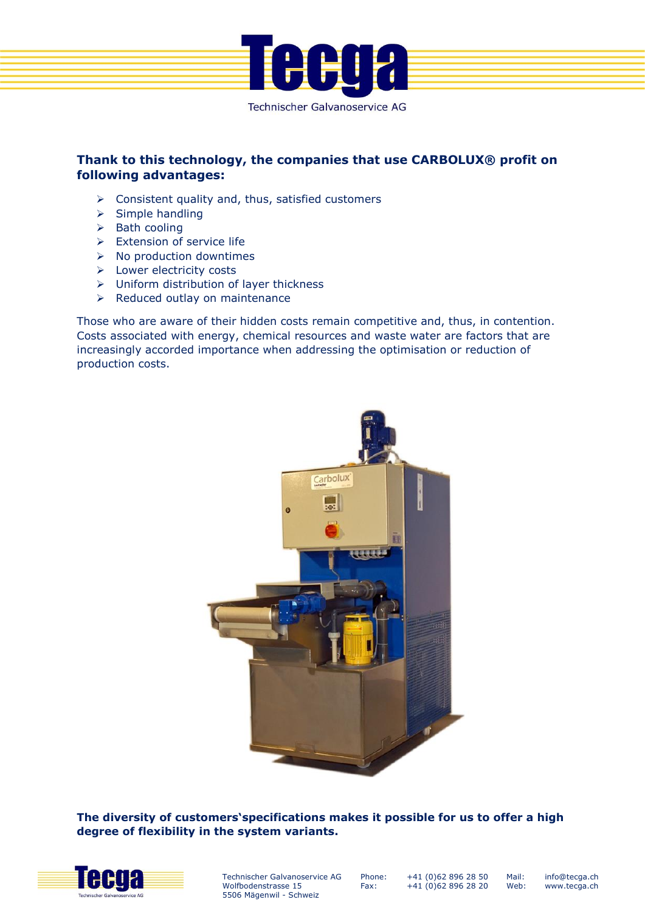

#### **Thank to this technology, the companies that use CARBOLUX® profit on following advantages:**

- $\triangleright$  Consistent quality and, thus, satisfied customers
- $\triangleright$  Simple handling
- $\triangleright$  Bath cooling
- $\triangleright$  Extension of service life
- $\triangleright$  No production downtimes
- ▶ Lower electricity costs
- Uniform distribution of layer thickness
- $\triangleright$  Reduced outlay on maintenance

Those who are aware of their hidden costs remain competitive and, thus, in contention. Costs associated with energy, chemical resources and waste water are factors that are increasingly accorded importance when addressing the optimisation or reduction of production costs.



**The diversity of customers'specifications makes it possible for us to offer a high degree of flexibility in the system variants.**



Technischer Galvanoservice AG Wolfbodenstrasse 15 5506 Mägenwil - Schweiz

Phone: Fax:

+41 (0)62 896 28 50 +41 (0)62 896 28 20 info@tecga.ch www.tecga.ch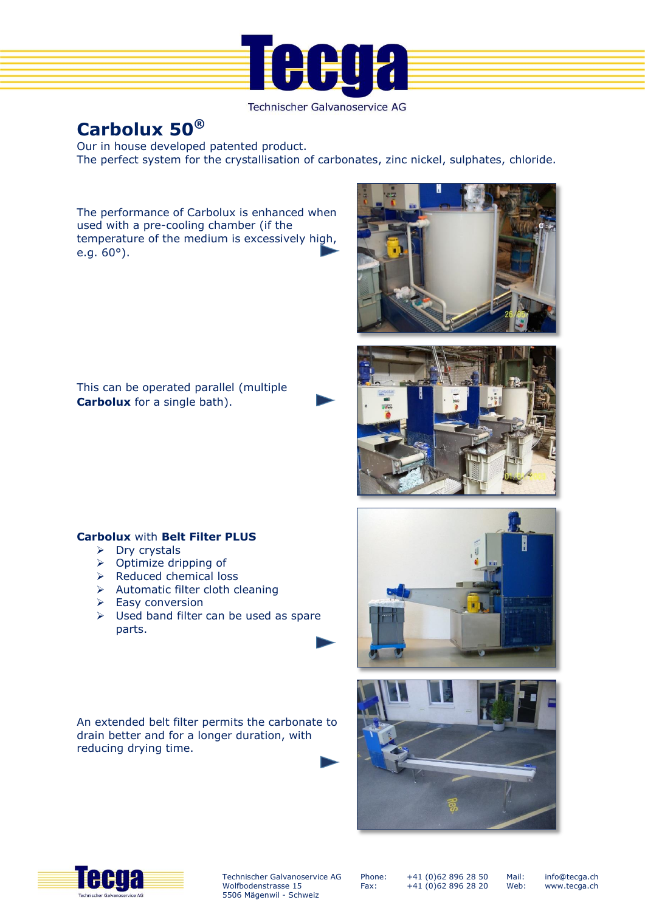

Technischer Galvanoservice AG

# **Carbolux 50®**

Our in house developed patented product. The perfect system for the crystallisation of carbonates, zinc nickel, sulphates, chloride.

The performance of Carbolux is enhanced when used with a pre-cooling chamber (if the temperature of the medium is excessively high, e.g. 60°).



This can be operated parallel (multiple **Carbolux** for a single bath).





#### **Carbolux** with **Belt Filter PLUS**

- $\triangleright$  Dry crystals
- $\triangleright$  Optimize dripping of
- $\triangleright$  Reduced chemical loss
- Automatic filter cloth cleaning
- $\triangleright$  Easy conversion
- $\triangleright$  Used band filter can be used as spare parts.

An extended belt filter permits the carbonate to drain better and for a longer duration, with reducing drying time.







Technischer Galvanoservice AG Wolfbodenstrasse 15 5506 Mägenwil - Schweiz

Phone: Fax:

+41 (0)62 896 28 50 +41 (0)62 896 28 20

Mail: Web: info@tecga.ch www.tecga.ch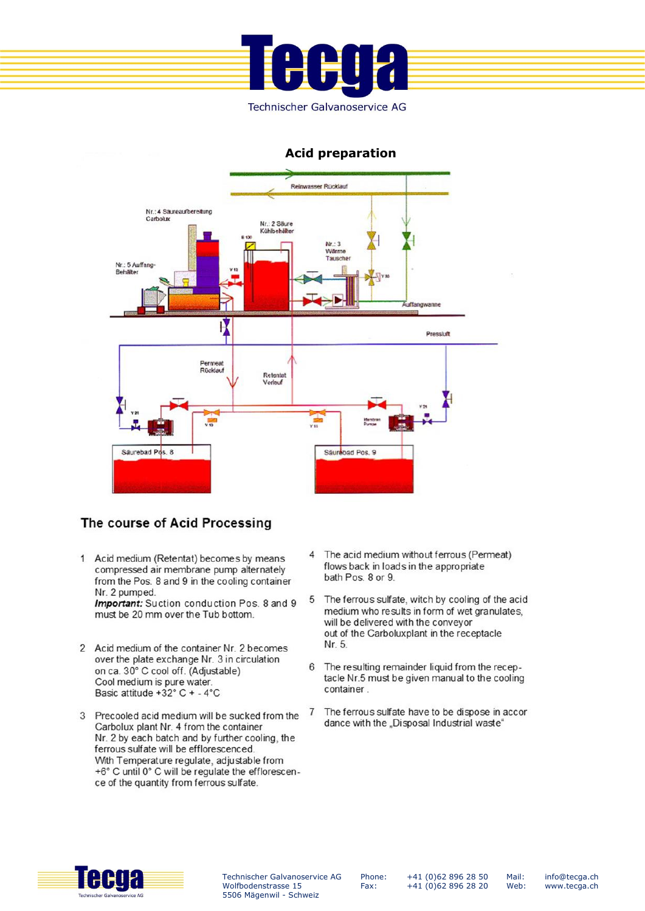

#### **Acid preparation**



### The course of Acid Processing

1 Acid medium (Retentat) becomes by means compressed air membrane pump alternately from the Pos. 8 and 9 in the cooling container Nr. 2 pumped.

Important: Suction conduction Pos. 8 and 9 must be 20 mm over the Tub bottom

- 2 Acid medium of the container Nr. 2 becomes over the plate exchange Nr. 3 in circulation on ca. 30° C cool off. (Adjustable) Cool medium is pure water. Basic attitude +32° C + - 4°C
- 3 Precooled acid medium will be sucked from the Carbolux plant Nr. 4 from the container Nr. 2 by each batch and by further cooling, the ferrous sulfate will be efflorescenced. With Temperature regulate, adjustable from +6° C until 0° C will be regulate the efflorescence of the quantity from ferrous sulfate.
- 4 The acid medium without ferrous (Permeat) flows back in loads in the appropriate bath Pos. 8 or 9.
- 5 The ferrous sulfate, witch by cooling of the acid medium who results in form of wet granulates. will be delivered with the conveyor out of the Carboluxplant in the receptacle Nr. 5.
- 6 The resulting remainder liquid from the receptacle Nr.5 must be given manual to the cooling container.
- The ferrous sulfate have to be dispose in accor  $\overline{7}$ dance with the "Disposal Industrial waste"



Technischer Galvanoservice AG Wolfbodenstrasse 15 5506 Mägenwil - Schweiz

Phone: Fax:

+41 (0)62 896 28 50 +41 (0)62 896 28 20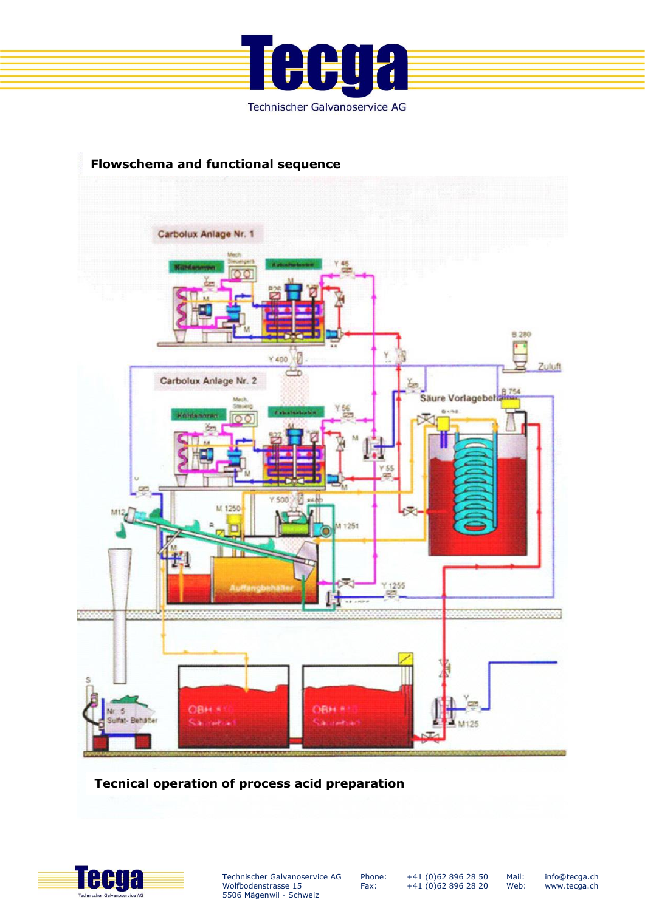



**Tecnical operation of process acid preparation**



Technischer Galvanoservice AG Wolfbodenstrasse 15 5506 Mägenwil - Schweiz

Phone: Fax:

+41 (0)62 896 28 50 +41 (0)62 896 28 20

info@tecga.ch www.tecga.ch